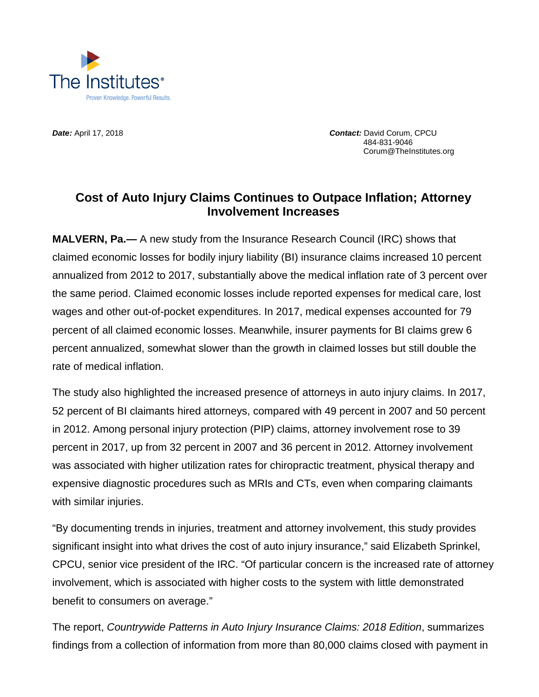

*Date:* April 17, 2018 *Contact:* David Corum, CPCU 484-831-9046 Corum@TheInstitutes.org

## **Cost of Auto Injury Claims Continues to Outpace Inflation; Attorney Involvement Increases**

**MALVERN, Pa.—** A new study from the Insurance Research Council (IRC) shows that claimed economic losses for bodily injury liability (BI) insurance claims increased 10 percent annualized from 2012 to 2017, substantially above the medical inflation rate of 3 percent over the same period. Claimed economic losses include reported expenses for medical care, lost wages and other out-of-pocket expenditures. In 2017, medical expenses accounted for 79 percent of all claimed economic losses. Meanwhile, insurer payments for BI claims grew 6 percent annualized, somewhat slower than the growth in claimed losses but still double the rate of medical inflation.

The study also highlighted the increased presence of attorneys in auto injury claims. In 2017, 52 percent of BI claimants hired attorneys, compared with 49 percent in 2007 and 50 percent in 2012. Among personal injury protection (PIP) claims, attorney involvement rose to 39 percent in 2017, up from 32 percent in 2007 and 36 percent in 2012. Attorney involvement was associated with higher utilization rates for chiropractic treatment, physical therapy and expensive diagnostic procedures such as MRIs and CTs, even when comparing claimants with similar injuries.

"By documenting trends in injuries, treatment and attorney involvement, this study provides significant insight into what drives the cost of auto injury insurance," said Elizabeth Sprinkel, CPCU, senior vice president of the IRC. "Of particular concern is the increased rate of attorney involvement, which is associated with higher costs to the system with little demonstrated benefit to consumers on average."

The report, *Countrywide Patterns in Auto Injury Insurance Claims: 2018 Edition*, summarizes findings from a collection of information from more than 80,000 claims closed with payment in